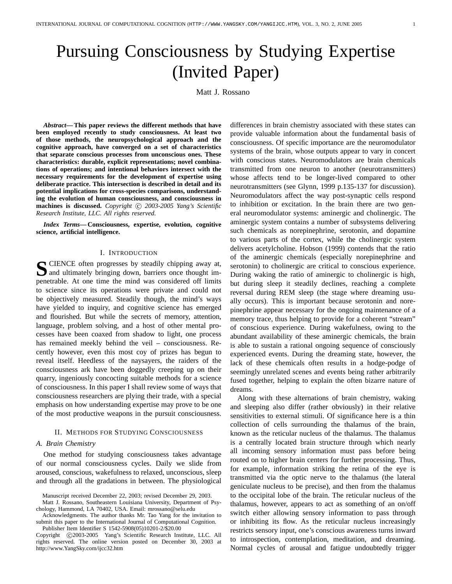# Pursuing Consciousness by Studying Expertise (Invited Paper)

Matt J. Rossano

*Abstract***— This paper reviews the different methods that have been employed recently to study consciousness. At least two of those methods, the neuropsychological approach and the cognitive approach, have converged on a set of characteristics that separate conscious processes from unconscious ones. These characteristics: durable, explicit representations; novel combinations of operations; and intentional behaviors intersect with the necessary requirements for the development of expertise using deliberate practice. This intersection is described in detail and its potential implications for cross-species comparisons, understanding the evolution of human consciousness, and consciousness in machines is discussed.** *Copyright*  $\odot$  2003-2005 Yang's Scientific *Research Institute, LLC. All rights reserved.*

*Index Terms***— Consciousness, expertise, evolution, cognitive science, artificial intelligence.**

#### I. INTRODUCTION

S CIENCE often progresses by steadily chipping away at, and ultimately bringing down, barriers once thought impenetrable. At one time the mind was considered off limits to science since its operations were private and could not be objectively measured. Steadily though, the mind's ways have yielded to inquiry, and cognitive science has emerged and flourished. But while the secrets of memory, attention, language, problem solving, and a host of other mental processes have been coaxed from shadow to light, one process has remained meekly behind the veil – consciousness. Recently however, even this most coy of prizes has begun to reveal itself. Heedless of the naysayers, the raiders of the consciousness ark have been doggedly creeping up on their quarry, ingeniously concocting suitable methods for a science of consciousness. In this paper I shall review some of ways that consciousness researchers are plying their trade, with a special emphasis on how understanding expertise may prove to be one of the most productive weapons in the pursuit consciousness.

#### II. METHODS FOR STUDYING CONSCIOUSNESS

#### *A. Brain Chemistry*

One method for studying consciousness takes advantage of our normal consciousness cycles. Daily we slide from aroused, conscious, wakefulness to relaxed, unconscious, sleep and through all the gradations in between. The physiological differences in brain chemistry associated with these states can provide valuable information about the fundamental basis of consciousness. Of specific importance are the neuromodulator systems of the brain, whose outputs appear to vary in concert with conscious states. Neuromodulators are brain chemicals transmitted from one neuron to another (neurotransmitters) whose affects tend to be longer-lived compared to other neurotransmitters (see Glynn, 1999 p.135-137 for discussion). Neuromodulators affect the way post-synaptic cells respond to inhibition or excitation. In the brain there are two general neuromodulator systems: aminergic and cholinergic. The aminergic system contains a number of subsystems delivering such chemicals as norepinephrine, serotonin, and dopamine to various parts of the cortex, while the cholinergic system delivers acetylcholine. Hobson (1999) contends that the ratio of the aminergic chemicals (especially norepinephrine and serotonin) to cholinergic are critical to conscious experience. During waking the ratio of aminergic to cholinergic is high, but during sleep it steadily declines, reaching a complete reversal during REM sleep (the stage where dreaming usually occurs). This is important because serotonin and norepinephrine appear necessary for the ongoing maintenance of a memory trace, thus helping to provide for a coherent "stream" of conscious experience. During wakefulness, owing to the abundant availability of these aminergic chemicals, the brain is able to sustain a rational ongoing sequence of consciously experienced events. During the dreaming state, however, the lack of these chemicals often results in a hodge-podge of seemingly unrelated scenes and events being rather arbitrarily fused together, helping to explain the often bizarre nature of dreams.

Along with these alternations of brain chemistry, waking and sleeping also differ (rather obviously) in their relative sensitivities to external stimuli. Of significance here is a thin collection of cells surrounding the thalamus of the brain, known as the reticular nucleus of the thalamus. The thalamus is a centrally located brain structure through which nearly all incoming sensory information must pass before being routed on to higher brain centers for further processing. Thus, for example, information striking the retina of the eye is transmitted via the optic nerve to the thalamus (the lateral geniculate nucleus to be precise), and then from the thalamus to the occipital lobe of the brain. The reticular nucleus of the thalamus, however, appears to act as something of an on/off switch either allowing sensory information to pass through or inhibiting its flow. As the reticular nucleus increasingly restricts sensory input, one's conscious awareness turns inward to introspection, contemplation, meditation, and dreaming. Normal cycles of arousal and fatigue undoubtedly trigger

Manuscript received December 22, 2003; revised December 29, 2003.

Matt J. Rossano, Southeastern Louisiana University, Department of Psychology, Hammond, LA 70402, USA. Email: mrossano@selu.edu

Acknowledgments. The author thanks Mr. Tao Yang for the invitation to submit this paper to the International Journal of Computational Cognition. Publisher Item Identifier S 1542-5908(05)10201-2/\$20.00

Copyright ©2003-2005 Yang's Scientific Research Institute, LLC. All rights reserved. The online version posted on December 30, 2003 at http://www.YangSky.com/ijcc32.htm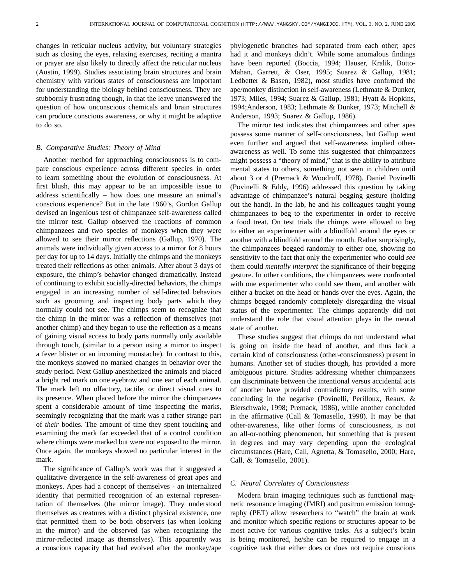changes in reticular nucleus activity, but voluntary strategies such as closing the eyes, relaxing exercises, reciting a mantra or prayer are also likely to directly affect the reticular nucleus (Austin, 1999). Studies associating brain structures and brain chemistry with various states of consciousness are important for understanding the biology behind consciousness. They are stubbornly frustrating though, in that the leave unanswered the question of how unconscious chemicals and brain structures can produce conscious awareness, or why it might be adaptive to do so.

## *B. Comparative Studies: Theory of Mind*

Another method for approaching consciousness is to compare conscious experience across different species in order to learn something about the evolution of consciousness. At first blush, this may appear to be an impossible issue to address scientifically – how does one measure an animal's conscious experience? But in the late 1960's, Gordon Gallup devised an ingenious test of chimpanzee self-awareness called the mirror test. Gallup observed the reactions of common chimpanzees and two species of monkeys when they were allowed to see their mirror reflections (Gallup, 1970). The animals were individually given access to a mirror for 8 hours per day for up to 14 days. Initially the chimps and the monkeys treated their reflections as other animals. After about 3 days of exposure, the chimp's behavior changed dramatically. Instead of continuing to exhibit socially-directed behaviors, the chimps engaged in an increasing number of self-directed behaviors such as grooming and inspecting body parts which they normally could not see. The chimps seem to recognize that the chimp in the mirror was a reflection of themselves (not another chimp) and they began to use the reflection as a means of gaining visual access to body parts normally only available through touch, (similar to a person using a mirror to inspect a fever blister or an incoming moustache). In contrast to this, the monkeys showed no marked changes in behavior over the study period. Next Gallup anesthetized the animals and placed a bright red mark on one eyebrow and one ear of each animal. The mark left no olfactory, tactile, or direct visual cues to its presence. When placed before the mirror the chimpanzees spent a considerable amount of time inspecting the marks, seemingly recognizing that the mark was a rather strange part of *their* bodies. The amount of time they spent touching and examining the mark far exceeded that of a control condition where chimps were marked but were not exposed to the mirror. Once again, the monkeys showed no particular interest in the mark.

The significance of Gallup's work was that it suggested a qualitative divergence in the self-awareness of great apes and monkeys. Apes had a concept of themselves - an internalized identity that permitted recognition of an external representation of themselves (the mirror image). They understood themselves as creatures with a distinct physical existence, one that permitted them to be both observers (as when looking in the mirror) and the observed (as when recognizing the mirror-reflected image as themselves). This apparently was a conscious capacity that had evolved after the monkey/ape

phylogenetic branches had separated from each other; apes had it and monkeys didn't. While some anomalous findings have been reported (Boccia, 1994; Hauser, Kralik, Botto-Mahan, Garrett, & Oser, 1995; Suarez & Gallup, 1981; Ledbetter & Basen, 1982), most studies have confirmed the ape/monkey distinction in self-awareness (Lethmate & Dunker, 1973; Miles, 1994; Suarez & Gallup, 1981; Hyatt & Hopkins, 1994;Anderson, 1983; Lethmate & Dunker, 1973; Mitchell & Anderson, 1993; Suarez & Gallup, 1986).

The mirror test indicates that chimpanzees and other apes possess some manner of self-consciousness, but Gallup went even further and argued that self-awareness implied otherawareness as well. To some this suggested that chimpanzees might possess a "theory of mind," that is the ability to attribute mental states to others, something not seen in children until about 3 or 4 (Premack & Woodruff, 1978). Daniel Povinelli (Povinelli & Eddy, 1996) addressed this question by taking advantage of chimpanzee's natural begging gesture (holding out the hand). In the lab, he and his colleagues taught young chimpanzees to beg to the experimenter in order to receive a food treat. On test trials the chimps were allowed to beg to either an experimenter with a blindfold around the eyes or another with a blindfold around the mouth. Rather surprisingly, the chimpanzees begged randomly to either one, showing no sensitivity to the fact that only the experimenter who could *see* them could *mentally interpret* the significance of their begging gesture. In other conditions, the chimpanzees were confronted with one experimenter who could see them, and another with either a bucket on the head or hands over the eyes. Again, the chimps begged randomly completely disregarding the visual status of the experimenter. The chimps apparently did not understand the role that visual attention plays in the mental state of another.

These studies suggest that chimps do not understand what is going on inside the head of another, and thus lack a certain kind of consciousness (other-consciousness) present in humans. Another set of studies though, has provided a more ambiguous picture. Studies addressing whether chimpanzees can discriminate between the intentional versus accidental acts of another have provided contradictory results, with some concluding in the negative (Povinelli, Perilloux, Reaux, & Bierschwale, 1998; Premack, 1986), while another concluded in the affirmative (Call & Tomasello, 1998). It may be that other-awareness, like other forms of consciousness, is not an all-or-nothing phenomenon, but something that is present in degrees and may vary depending upon the ecological circumstances (Hare, Call, Agnetta, & Tomasello, 2000; Hare, Call, & Tomasello, 2001).

### *C. Neural Correlates of Consciousness*

Modern brain imaging techniques such as functional magnetic resonance imaging (fMRI) and positron emission tomography (PET) allow researchers to "watch" the brain at work and monitor which specific regions or structures appear to be most active for various cognitive tasks. As a subject's brain is being monitored, he/she can be required to engage in a cognitive task that either does or does not require conscious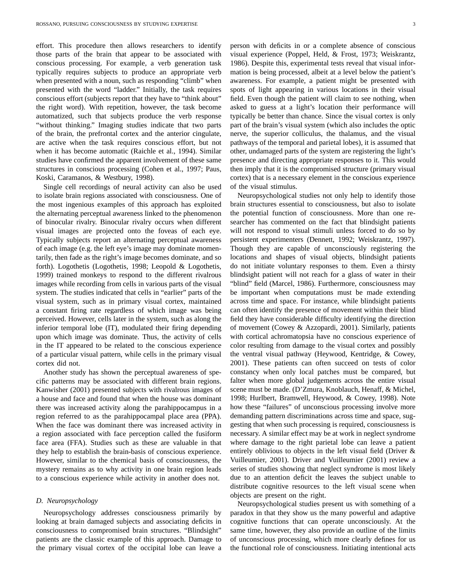effort. This procedure then allows researchers to identify those parts of the brain that appear to be associated with conscious processing. For example, a verb generation task typically requires subjects to produce an appropriate verb when presented with a noun, such as responding "climb" when presented with the word "ladder." Initially, the task requires conscious effort (subjects report that they have to "think about" the right word). With repetition, however, the task become automatized, such that subjects produce the verb response "without thinking." Imaging studies indicate that two parts of the brain, the prefrontal cortex and the anterior cingulate, are active when the task requires conscious effort, but not when it has become automatic (Raichle et al., 1994). Similar studies have confirmed the apparent involvement of these same structures in conscious processing (Cohen et al., 1997; Paus, Koski, Caramanos, & Westbury, 1998).

Single cell recordings of neural activity can also be used to isolate brain regions associated with consciousness. One of the most ingenious examples of this approach has exploited the alternating perceptual awareness linked to the phenomenon of binocular rivalry. Binocular rivalry occurs when different visual images are projected onto the foveas of each eye. Typically subjects report an alternating perceptual awareness of each image (e.g. the left eye's image may dominate momentarily, then fade as the right's image becomes dominate, and so forth). Logothetis (Logothetis, 1998; Leopold & Logothetis, 1999) trained monkeys to respond to the different rivalrous images while recording from cells in various parts of the visual system. The studies indicated that cells in "earlier" parts of the visual system, such as in primary visual cortex, maintained a constant firing rate regardless of which image was being perceived. However, cells later in the system, such as along the inferior temporal lobe (IT), modulated their firing depending upon which image was dominate. Thus, the activity of cells in the IT appeared to be related to the conscious experience of a particular visual pattern, while cells in the primary visual cortex did not.

Another study has shown the perceptual awareness of specific patterns may be associated with different brain regions. Kanwisher (2001) presented subjects with rivalrous images of a house and face and found that when the house was dominant there was increased activity along the parahippocampus in a region referred to as the parahippocampal place area (PPA). When the face was dominant there was increased activity in a region associated with face perception called the fusiform face area (FFA). Studies such as these are valuable in that they help to establish the brain-basis of conscious experience. However, similar to the chemical basis of consciousness, the mystery remains as to why activity in one brain region leads to a conscious experience while activity in another does not.

#### *D. Neuropsychology*

Neuropsychology addresses consciousness primarily by looking at brain damaged subjects and associating deficits in consciousness to compromised brain structures. "Blindsight" patients are the classic example of this approach. Damage to the primary visual cortex of the occipital lobe can leave a person with deficits in or a complete absence of conscious visual experience (Poppel, Held, & Frost, 1973; Weiskrantz, 1986). Despite this, experimental tests reveal that visual information is being processed, albeit at a level below the patient's awareness. For example, a patient might be presented with spots of light appearing in various locations in their visual field. Even though the patient will claim to see nothing, when asked to guess at a light's location their performance will typically be better than chance. Since the visual cortex is only part of the brain's visual system (which also includes the optic nerve, the superior colliculus, the thalamus, and the visual pathways of the temporal and parietal lobes), it is assumed that other, undamaged parts of the system are registering the light's presence and directing appropriate responses to it. This would then imply that it is the compromised structure (primary visual cortex) that is a necessary element in the conscious experience of the visual stimulus.

Neuropsychological studies not only help to identify those brain structures essential to consciousness, but also to isolate the potential function of consciousness. More than one researcher has commented on the fact that blindsight patients will not respond to visual stimuli unless forced to do so by persistent experimenters (Dennett, 1992; Weiskrantz, 1997). Though they are capable of unconsciously registering the locations and shapes of visual objects, blindsight patients do not initiate voluntary responses to them. Even a thirsty blindsight patient will not reach for a glass of water in their "blind" field (Marcel, 1986). Furthermore, consciousness may be important when computations must be made extending across time and space. For instance, while blindsight patients can often identify the presence of movement within their blind field they have considerable difficulty identifying the direction of movement (Cowey & Azzopardi, 2001). Similarly, patients with cortical achromatopsia have no conscious experience of color resulting from damage to the visual cortex and possibly the ventral visual pathway (Heywood, Kentridge, & Cowey, 2001). These patients can often succeed on tests of color constancy when only local patches must be compared, but falter when more global judgements across the entire visual scene must be made. (D'Zmura, Knoblauch, Henaff, & Michel, 1998; Hurlbert, Bramwell, Heywood, & Cowey, 1998). Note how these "failures" of unconscious processing involve more demanding pattern discriminations across time and space, suggesting that when such processing is required, consciousness is necessary. A similar effect may be at work in neglect syndrome where damage to the right parietal lobe can leave a patient entirely oblivious to objects in the left visual field (Driver & Vuilleumier, 2001). Driver and Vuilleumier (2001) review a series of studies showing that neglect syndrome is most likely due to an attention deficit the leaves the subject unable to distribute cognitive resources to the left visual scene when objects are present on the right.

Neuropsychological studies present us with something of a paradox in that they show us the many powerful and adaptive cognitive functions that can operate unconsciously. At the same time, however, they also provide an outline of the limits of unconscious processing, which more clearly defines for us the functional role of consciousness. Initiating intentional acts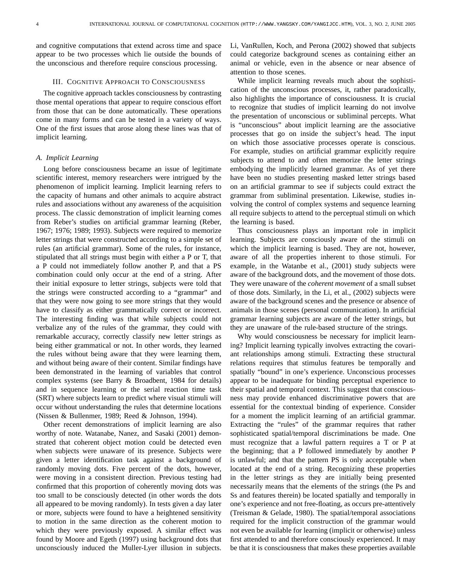and cognitive computations that extend across time and space appear to be two processes which lie outside the bounds of the unconscious and therefore require conscious processing.

## III. COGNITIVE APPROACH TO CONSCIOUSNESS

The cognitive approach tackles consciousness by contrasting those mental operations that appear to require conscious effort from those that can be done automatically. These operations come in many forms and can be tested in a variety of ways. One of the first issues that arose along these lines was that of implicit learning.

#### *A. Implicit Learning*

Long before consciousness became an issue of legitimate scientific interest, memory researchers were intrigued by the phenomenon of implicit learning. Implicit learning refers to the capacity of humans and other animals to acquire abstract rules and associations without any awareness of the acquisition process. The classic demonstration of implicit learning comes from Reber's studies on artificial grammar learning (Reber, 1967; 1976; 1989; 1993). Subjects were required to memorize letter strings that were constructed according to a simple set of rules (an artificial grammar). Some of the rules, for instance, stipulated that all strings must begin with either a P or T, that a P could not immediately follow another P, and that a PS combination could only occur at the end of a string. After their initial exposure to letter strings, subjects were told that the strings were constructed according to a "grammar" and that they were now going to see more strings that they would have to classify as either grammatically correct or incorrect. The interesting finding was that while subjects could not verbalize any of the rules of the grammar, they could with remarkable accuracy, correctly classify new letter strings as being either grammatical or not. In other words, they learned the rules without being aware that they were learning them, and without being aware of their content. Similar findings have been demonstrated in the learning of variables that control complex systems (see Barry & Broadbent, 1984 for details) and in sequence learning or the serial reaction time task (SRT) where subjects learn to predict where visual stimuli will occur without understanding the rules that determine locations (Nissen & Bullenmer, 1989; Reed & Johnson, 1994).

Other recent demonstrations of implicit learning are also worthy of note. Watanabe, Nanez, and Sasaki (2001) demonstrated that coherent object motion could be detected even when subjects were unaware of its presence. Subjects were given a letter identification task against a background of randomly moving dots. Five percent of the dots, however, were moving in a consistent direction. Previous testing had confirmed that this proportion of coherently moving dots was too small to be consciously detected (in other words the dots all appeared to be moving randomly). In tests given a day later or more, subjects were found to have a heightened sensitivity to motion in the same direction as the coherent motion to which they were previously exposed. A similar effect was found by Moore and Egeth (1997) using background dots that unconsciously induced the Muller-Lyer illusion in subjects. Li, VanRullen, Koch, and Perona (2002) showed that subjects could categorize background scenes as containing either an animal or vehicle, even in the absence or near absence of attention to those scenes.

While implicit learning reveals much about the sophistication of the unconscious processes, it, rather paradoxically, also highlights the importance of consciousness. It is crucial to recognize that studies of implicit learning do not involve the presentation of unconscious or subliminal percepts. What is "unconscious" about implicit learning are the associative processes that go on inside the subject's head. The input on which those associative processes operate is conscious. For example, studies on artificial grammar explicitly require subjects to attend to and often memorize the letter strings embodying the implicitly learned grammar. As of yet there have been no studies presenting masked letter strings based on an artificial grammar to see if subjects could extract the grammar from subliminal presentation. Likewise, studies involving the control of complex systems and sequence learning all require subjects to attend to the perceptual stimuli on which the learning is based.

Thus consciousness plays an important role in implicit learning. Subjects are consciously aware of the stimuli on which the implicit learning is based. They are not, however, aware of all the properties inherent to those stimuli. For example, in the Watanbe et al., (2001) study subjects were aware of the background dots, and the movement of those dots. They were unaware of the *coherent movement* of a small subset of those dots. Similarly, in the Li, et al., (2002) subjects were aware of the background scenes and the presence or absence of animals in those scenes (personal communication). In artificial grammar learning subjects are aware of the letter strings, but they are unaware of the rule-based structure of the strings.

Why would consciousness be necessary for implicit learning? Implicit learning typically involves extracting the covariant relationships among stimuli. Extracting these structural relations requires that stimulus features be temporally and spatially "bound" in one's experience. Unconscious processes appear to be inadequate for binding perceptual experience to their spatial and temporal context. This suggest that consciousness may provide enhanced discriminative powers that are essential for the contextual binding of experience. Consider for a moment the implicit learning of an artificial grammar. Extracting the "rules" of the grammar requires that rather sophisticated spatial/temporal discriminations be made. One must recognize that a lawful pattern requires a T or P at the beginning; that a P followed immediately by another P is unlawful; and that the pattern PS is only acceptable when located at the end of a string. Recognizing these properties in the letter strings as they are initially being presented necessarily means that the elements of the strings (the Ps and Ss and features therein) be located spatially and temporally in one's experience and not free-floating, as occurs pre-attentively (Treisman & Gelade, 1980). The spatial/temporal associations required for the implicit construction of the grammar would not even be available for learning (implicit or otherwise) unless first attended to and therefore consciously experienced. It may be that it is consciousness that makes these properties available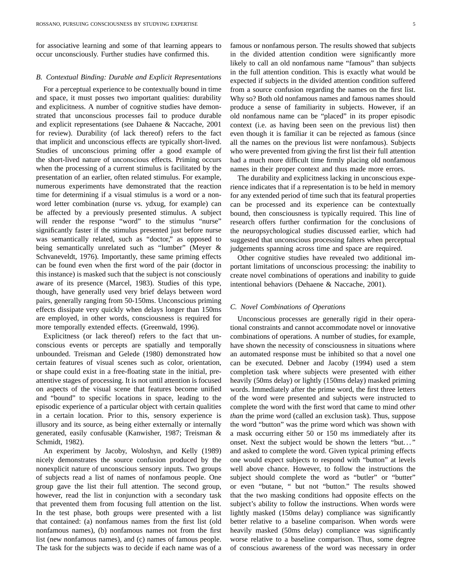for associative learning and some of that learning appears to occur unconsciously. Further studies have confirmed this.

# *B. Contextual Binding: Durable and Explicit Representations*

For a perceptual experience to be contextually bound in time and space, it must posses two important qualities: durability and explicitness. A number of cognitive studies have demonstrated that unconscious processes fail to produce durable and explicit representations (see Dahaene & Naccache, 2001 for review). Durability (of lack thereof) refers to the fact that implicit and unconscious effects are typically short-lived. Studies of unconscious priming offer a good example of the short-lived nature of unconscious effects. Priming occurs when the processing of a current stimulus is facilitated by the presentation of an earlier, often related stimulus. For example, numerous experiments have demonstrated that the reaction time for determining if a visual stimulus is a word or a nonword letter combination (nurse vs. ydxug, for example) can be affected by a previously presented stimulus. A subject will render the response "word" to the stimulus "nurse" significantly faster if the stimulus presented just before nurse was semantically related, such as "doctor," as opposed to being semantically unrelated such as "lumber" (Meyer & Schvaneveldt, 1976). Importantly, these same priming effects can be found even when the first word of the pair (doctor in this instance) is masked such that the subject is not consciously aware of its presence (Marcel, 1983). Studies of this type, though, have generally used very brief delays between word pairs, generally ranging from 50-150ms. Unconscious priming effects dissipate very quickly when delays longer than 150ms are employed, in other words, consciousness is required for more temporally extended effects. (Greenwald, 1996).

Explicitness (or lack thereof) refers to the fact that unconscious events or percepts are spatially and temporally unbounded. Treisman and Gelede (1980) demonstrated how certain features of visual scenes such as color, orientation, or shape could exist in a free-floating state in the initial, preattentive stages of processing. It is not until attention is focused on aspects of the visual scene that features become unified and "bound" to specific locations in space, leading to the episodic experience of a particular object with certain qualities in a certain location. Prior to this, sensory experience is illusory and its source, as being either externally or internally generated, easily confusable (Kanwisher, 1987; Treisman & Schmidt, 1982).

An experiment by Jacoby, Woloshyn, and Kelly (1989) nicely demonstrates the source confusion produced by the nonexplicit nature of unconscious sensory inputs. Two groups of subjects read a list of names of nonfamous people. One group gave the list their full attention. The second group, however, read the list in conjunction with a secondary task that prevented them from focusing full attention on the list. In the test phase, both groups were presented with a list that contained: (a) nonfamous names from the first list (old nonfamous names), (b) nonfamous names not from the first list (new nonfamous names), and (c) names of famous people. The task for the subjects was to decide if each name was of a famous or nonfamous person. The results showed that subjects in the divided attention condition were significantly more likely to call an old nonfamous name "famous" than subjects in the full attention condition. This is exactly what would be expected if subjects in the divided attention condition suffered from a source confusion regarding the names on the first list. Why so? Both old nonfamous names and famous names should produce a sense of familiarity in subjects. However, if an old nonfamous name can be "placed" in its proper episodic context (i.e. as having been seen on the previous list) then even though it is familiar it can be rejected as famous (since all the names on the previous list were nonfamous). Subjects who were prevented from giving the first list their full attention had a much more difficult time firmly placing old nonfamous names in their proper context and thus made more errors.

The durability and explicitness lacking in unconscious experience indicates that if a representation is to be held in memory for any extended period of time such that its featural properties can be processed and its experience can be contextually bound, then consciousness is typically required. This line of research offers further confirmation for the conclusions of the neuropsychological studies discussed earlier, which had suggested that unconscious processing falters when perceptual judgements spanning across time and space are required.

Other cognitive studies have revealed two additional important limitations of unconscious processing: the inability to create novel combinations of operations and inability to guide intentional behaviors (Dehaene & Naccache, 2001).

#### *C. Novel Combinations of Operations*

Unconscious processes are generally rigid in their operational constraints and cannot accommodate novel or innovative combinations of operations. A number of studies, for example, have shown the necessity of consciousness in situations where an automated response must be inhibited so that a novel one can be executed. Debner and Jacoby (1994) used a stem completion task where subjects were presented with either heavily (50ms delay) or lightly (150ms delay) masked priming words. Immediately after the prime word, the first three letters of the word were presented and subjects were instructed to complete the word with the first word that came to mind *other than* the prime word (called an exclusion task). Thus, suppose the word "button" was the prime word which was shown with a mask occurring either 50 or 150 ms immediately after its onset. Next the subject would be shown the letters "but. . . " and asked to complete the word. Given typical priming effects one would expect subjects to respond with "button" at levels well above chance. However, to follow the instructions the subject should complete the word as "butler" or "butter" or even "butane, " but not "button." The results showed that the two masking conditions had opposite effects on the subject's ability to follow the instructions. When words were lightly masked (150ms delay) compliance was significantly better relative to a baseline comparison. When words were heavily masked (50ms delay) compliance was significantly worse relative to a baseline comparison. Thus, some degree of conscious awareness of the word was necessary in order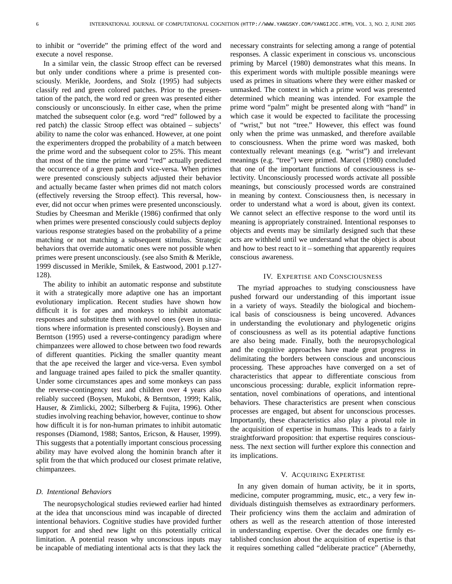to inhibit or "override" the priming effect of the word and execute a novel response.

In a similar vein, the classic Stroop effect can be reversed but only under conditions where a prime is presented consciously. Merikle, Joordens, and Stolz (1995) had subjects classify red and green colored patches. Prior to the presentation of the patch, the word red or green was presented either consciously or unconsciously. In either case, when the prime matched the subsequent color (e.g. word "red" followed by a red patch) the classic Stroop effect was obtained – subjects' ability to name the color was enhanced. However, at one point the experimenters dropped the probability of a match between the prime word and the subsequent color to 25%. This meant that most of the time the prime word "red" actually predicted the occurrence of a green patch and vice-versa. When primes were presented consciously subjects adjusted their behavior and actually became faster when primes did not match colors (effectively reversing the Stroop effect). This reversal, however, did not occur when primes were presented unconsciously. Studies by Cheesman and Merikle (1986) confirmed that only when primes were presented consciously could subjects deploy various response strategies based on the probability of a prime matching or not matching a subsequent stimulus. Strategic behaviors that override automatic ones were not possible when primes were present unconsciously. (see also Smith & Merikle, 1999 discussed in Merikle, Smilek, & Eastwood, 2001 p.127- 128).

The ability to inhibit an automatic response and substitute it with a strategically more adaptive one has an important evolutionary implication. Recent studies have shown how difficult it is for apes and monkeys to inhibit automatic responses and substitute them with novel ones (even in situations where information is presented consciously). Boysen and Berntson (1995) used a reverse-contingency paradigm where chimpanzees were allowed to chose between two food rewards of different quantities. Picking the smaller quantity meant that the ape received the larger and vice-versa. Even symbol and language trained apes failed to pick the smaller quantity. Under some circumstances apes and some monkeys can pass the reverse-contingency test and children over 4 years also reliably succeed (Boysen, Mukobi, & Berntson, 1999; Kalik, Hauser, & Zimlicki, 2002; Silberberg & Fujita, 1996). Other studies involving reaching behavior, however, continue to show how difficult it is for non-human primates to inhibit automatic responses (Diamond, 1988; Santos, Ericson, & Hauser, 1999). This suggests that a potentially important conscious processing ability may have evolved along the hominin branch after it split from the that which produced our closest primate relative, chimpanzees.

#### *D. Intentional Behaviors*

The neuropsychological studies reviewed earlier had hinted at the idea that unconscious mind was incapable of directed intentional behaviors. Cognitive studies have provided further support for and shed new light on this potentially critical limitation. A potential reason why unconscious inputs may be incapable of mediating intentional acts is that they lack the necessary constraints for selecting among a range of potential responses. A classic experiment in conscious vs. unconscious priming by Marcel (1980) demonstrates what this means. In this experiment words with multiple possible meanings were used as primes in situations where they were either masked or unmasked. The context in which a prime word was presented determined which meaning was intended. For example the prime word "palm" might be presented along with "hand" in which case it would be expected to facilitate the processing of "wrist," but not "tree." However, this effect was found only when the prime was unmasked, and therefore available to consciousness. When the prime word was masked, both contextually relevant meanings (e.g. "wrist") and irrelevant meanings (e.g. "tree") were primed. Marcel (1980) concluded that one of the important functions of consciousness is selectivity. Unconsciously processed words activate all possible meanings, but consciously processed words are constrained in meaning by context. Consciousness then, is necessary in order to understand what a word is about, given its context. We cannot select an effective response to the word until its meaning is appropriately constrained. Intentional responses to objects and events may be similarly designed such that these acts are withheld until we understand what the object is about and how to best react to it – something that apparently requires conscious awareness.

# IV. EXPERTISE AND CONSCIOUSNESS

The myriad approaches to studying consciousness have pushed forward our understanding of this important issue in a variety of ways. Steadily the biological and biochemical basis of consciousness is being uncovered. Advances in understanding the evolutionary and phylogenetic origins of consciousness as well as its potential adaptive functions are also being made. Finally, both the neuropsychological and the cognitive approaches have made great progress in delimitating the borders between conscious and unconscious processing. These approaches have converged on a set of characteristics that appear to differentiate conscious from unconscious processing: durable, explicit information representation, novel combinations of operations, and intentional behaviors. These characteristics are present when conscious processes are engaged, but absent for unconscious processes. Importantly, these characteristics also play a pivotal role in the acquisition of expertise in humans. This leads to a fairly straightforward proposition: that expertise requires consciousness. The next section will further explore this connection and its implications.

## V. ACQUIRING EXPERTISE

In any given domain of human activity, be it in sports, medicine, computer programming, music, etc., a very few individuals distinguish themselves as extraordinary performers. Their proficiency wins them the acclaim and admiration of others as well as the research attention of those interested in understanding expertise. Over the decades one firmly established conclusion about the acquisition of expertise is that it requires something called "deliberate practice" (Abernethy,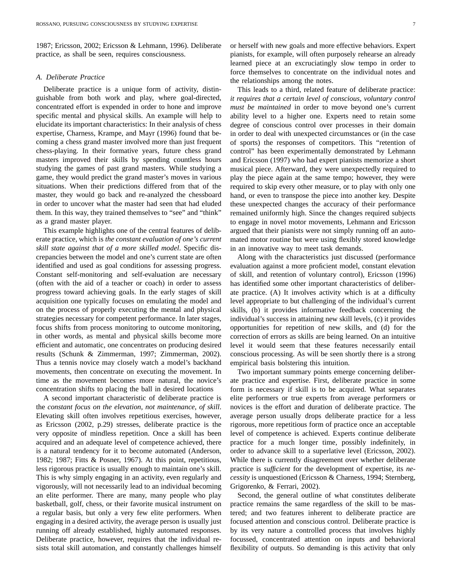1987; Ericsson, 2002; Ericsson & Lehmann, 1996). Deliberate practice, as shall be seen, requires consciousness.

#### *A. Deliberate Practice*

Deliberate practice is a unique form of activity, distinguishable from both work and play, where goal-directed, concentrated effort is expended in order to hone and improve specific mental and physical skills. An example will help to elucidate its important characteristics: In their analysis of chess expertise, Charness, Krampe, and Mayr (1996) found that becoming a chess grand master involved more than just frequent chess-playing. In their formative years, future chess grand masters improved their skills by spending countless hours studying the games of past grand masters. While studying a game, they would predict the grand master's moves in various situations. When their predictions differed from that of the master, they would go back and re-analyzed the chessboard in order to uncover what the master had seen that had eluded them. In this way, they trained themselves to "see" and "think" as a grand master player.

This example highlights one of the central features of deliberate practice, which is *the constant evaluation of one's current skill state against that of a more skilled model*. Specific discrepancies between the model and one's current state are often identified and used as goal conditions for assessing progress. Constant self-monitoring and self-evaluation are necessary (often with the aid of a teacher or coach) in order to assess progress toward achieving goals. In the early stages of skill acquisition one typically focuses on emulating the model and on the process of properly executing the mental and physical strategies necessary for competent performance. In later stages, focus shifts from process monitoring to outcome monitoring, in other words, as mental and physical skills become more efficient and automatic, one concentrates on producing desired results (Schunk & Zimmerman, 1997; Zimmerman, 2002). Thus a tennis novice may closely watch a model's backhand movements, then concentrate on executing the movement. In time as the movement becomes more natural, the novice's concentration shifts to placing the ball in desired locations

A second important characteristic of deliberate practice is the *constant focus on the elevation, not maintenance, of skill*. Elevating skill often involves repetitious exercises, however, as Ericsson (2002, p.29) stresses, deliberate practice is the very opposite of mindless repetition. Once a skill has been acquired and an adequate level of competence achieved, there is a natural tendency for it to become automated (Anderson, 1982; 1987; Fitts & Posner, 1967). At this point, repetitious, less rigorous practice is usually enough to maintain one's skill. This is why simply engaging in an activity, even regularly and vigorously, will not necessarily lead to an individual becoming an elite performer. There are many, many people who play basketball, golf, chess, or their favorite musical instrument on a regular basis, but only a very few elite performers. When engaging in a desired activity, the average person is usually just running off already established, highly automated responses. Deliberate practice, however, requires that the individual resists total skill automation, and constantly challenges himself or herself with new goals and more effective behaviors. Expert pianists, for example, will often purposely rehearse an already learned piece at an excruciatingly slow tempo in order to force themselves to concentrate on the individual notes and the relationships among the notes.

This leads to a third, related feature of deliberate practice: *it requires that a certain level of conscious, voluntary control must be maintained* in order to move beyond one's current ability level to a higher one. Experts need to retain some degree of conscious control over processes in their domain in order to deal with unexpected circumstances or (in the case of sports) the responses of competitors. This "retention of control" has been experimentally demonstrated by Lehmann and Ericsson (1997) who had expert pianists memorize a short musical piece. Afterward, they were unexpectedly required to play the piece again at the same tempo; however, they were required to skip every other measure, or to play with only one hand, or even to transpose the piece into another key. Despite these unexpected changes the accuracy of their performance remained uniformly high. Since the changes required subjects to engage in novel motor movements, Lehmann and Ericsson argued that their pianists were not simply running off an automated motor routine but were using flexibly stored knowledge in an innovative way to meet task demands.

Along with the characteristics just discussed (performance evaluation against a more proficient model, constant elevation of skill, and retention of voluntary control), Ericsson (1996) has identified some other important characteristics of deliberate practice. (A) It involves activity which is at a difficulty level appropriate to but challenging of the individual's current skills, (b) it provides informative feedback concerning the individual's success in attaining new skill levels, (c) it provides opportunities for repetition of new skills, and (d) for the correction of errors as skills are being learned. On an intuitive level it would seem that these features necessarily entail conscious processing. As will be seen shortly there is a strong empirical basis bolstering this intuition.

Two important summary points emerge concerning deliberate practice and expertise. First, deliberate practice in some form is necessary if skill is to be acquired. What separates elite performers or true experts from average performers or novices is the effort and duration of deliberate practice. The average person usually drops deliberate practice for a less rigorous, more repetitious form of practice once an acceptable level of competence is achieved. Experts continue deliberate practice for a much longer time, possibly indefinitely, in order to advance skill to a superlative level (Ericsson, 2002). While there is currently disagreement over whether deliberate practice is *sufficient* for the development of expertise, its *necessity* is unquestioned (Ericsson & Charness, 1994; Sternberg, Grigorenko, & Ferrari, 2002).

Second, the general outline of what constitutes deliberate practice remains the same regardless of the skill to be mastered; and two features inherent to deliberate practice are focused attention and conscious control. Deliberate practice is by its very nature a controlled process that involves highly focussed, concentrated attention on inputs and behavioral flexibility of outputs. So demanding is this activity that only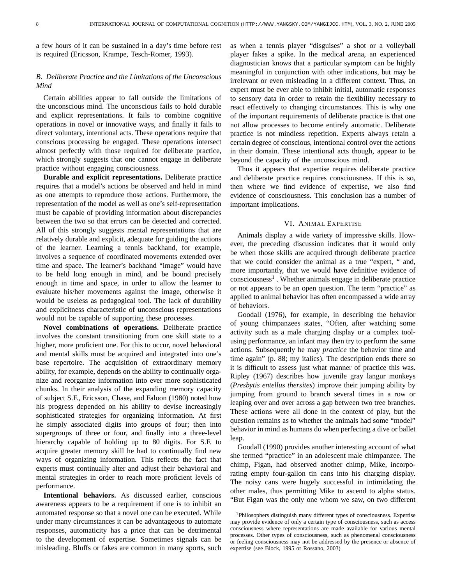a few hours of it can be sustained in a day's time before rest is required (Ericsson, Krampe, Tesch-Romer, 1993).

# *B. Deliberate Practice and the Limitations of the Unconscious Mind*

Certain abilities appear to fall outside the limitations of the unconscious mind. The unconscious fails to hold durable and explicit representations. It fails to combine cognitive operations in novel or innovative ways, and finally it fails to direct voluntary, intentional acts. These operations require that conscious processing be engaged. These operations intersect almost perfectly with those required for deliberate practice, which strongly suggests that one cannot engage in deliberate practice without engaging consciousness.

**Durable and explicit representations.** Deliberate practice requires that a model's actions be observed and held in mind as one attempts to reproduce those actions. Furthermore, the representation of the model as well as one's self-representation must be capable of providing information about discrepancies between the two so that errors can be detected and corrected. All of this strongly suggests mental representations that are relatively durable and explicit, adequate for guiding the actions of the learner. Learning a tennis backhand, for example, involves a sequence of coordinated movements extended over time and space. The learner's backhand "image" would have to be held long enough in mind, and be bound precisely enough in time and space, in order to allow the learner to evaluate his/her movements against the image, otherwise it would be useless as pedagogical tool. The lack of durability and explicitness characteristic of unconscious representations would not be capable of supporting these processes.

**Novel combinations of operations.** Deliberate practice involves the constant transitioning from one skill state to a higher, more proficient one. For this to occur, novel behavioral and mental skills must be acquired and integrated into one's base repertoire. The acquisition of extraordinary memory ability, for example, depends on the ability to continually organize and reorganize information into ever more sophisticated chunks. In their analysis of the expanding memory capacity of subject S.F., Ericsson, Chase, and Faloon (1980) noted how his progress depended on his ability to devise increasingly sophisticated strategies for organizing information. At first he simply associated digits into groups of four; then into supergroups of three or four, and finally into a three-level hierarchy capable of holding up to 80 digits. For S.F. to acquire greater memory skill he had to continually find new ways of organizing information. This reflects the fact that experts must continually alter and adjust their behavioral and mental strategies in order to reach more proficient levels of performance.

**Intentional behaviors.** As discussed earlier, conscious awareness appears to be a requirement if one is to inhibit an automated response so that a novel one can be executed. While under many circumstances it can be advantageous to automate responses, automaticity has a price that can be detrimental to the development of expertise. Sometimes signals can be misleading. Bluffs or fakes are common in many sports, such as when a tennis player "disguises" a shot or a volleyball player fakes a spike. In the medical arena, an experienced diagnostician knows that a particular symptom can be highly meaningful in conjunction with other indications, but may be irrelevant or even misleading in a different context. Thus, an expert must be ever able to inhibit initial, automatic responses to sensory data in order to retain the flexibility necessary to react effectively to changing circumstances. This is why one of the important requirements of deliberate practice is that one not allow processes to become entirely automatic. Deliberate practice is not mindless repetition. Experts always retain a certain degree of conscious, intentional control over the actions in their domain. These intentional acts though, appear to be beyond the capacity of the unconscious mind.

Thus it appears that expertise requires deliberate practice and deliberate practice requires consciousness. If this is so, then where we find evidence of expertise, we also find evidence of consciousness. This conclusion has a number of important implications.

# VI. ANIMAL EXPERTISE

Animals display a wide variety of impressive skills. However, the preceding discussion indicates that it would only be when those skills are acquired through deliberate practice that we could consider the animal as a true "expert, " and, more importantly, that we would have definitive evidence of consciousness<sup>1</sup>. Whether animals engage in deliberate practice or not appears to be an open question. The term "practice" as applied to animal behavior has often encompassed a wide array of behaviors.

Goodall (1976), for example, in describing the behavior of young chimpanzees states, "Often, after watching some activity such as a male charging display or a complex toolusing performance, an infant may then try to perform the same actions. Subsequently he may *practice* the behavior time and time again" (p. 88; my italics). The description ends there so it is difficult to assess just what manner of practice this was. Ripley (1967) describes how juvenile gray langur monkeys (*Presbytis entellus thersites*) improve their jumping ability by jumping from ground to branch several times in a row or leaping over and over across a gap between two tree branches. These actions were all done in the context of play, but the question remains as to whether the animals had some "model" behavior in mind as humans do when perfecting a dive or ballet leap.

Goodall (1990) provides another interesting account of what she termed "practice" in an adolescent male chimpanzee. The chimp, Figan, had observed another chimp, Mike, incorporating empty four-gallon tin cans into his charging display. The noisy cans were hugely successful in intimidating the other males, thus permitting Mike to ascend to alpha status. "But Figan was the only one whom we saw, on two different

<sup>1</sup>Philosophers distinguish many different types of consciousness. Expertise may provide evidence of only a certain type of consciousness, such as access consciousness where representations are made available for various mental processes. Other types of consciousness, such as phenomenal consciousness or feeling consciousness may not be addressed by the presence or absence of expertise (see Block, 1995 or Rossano, 2003)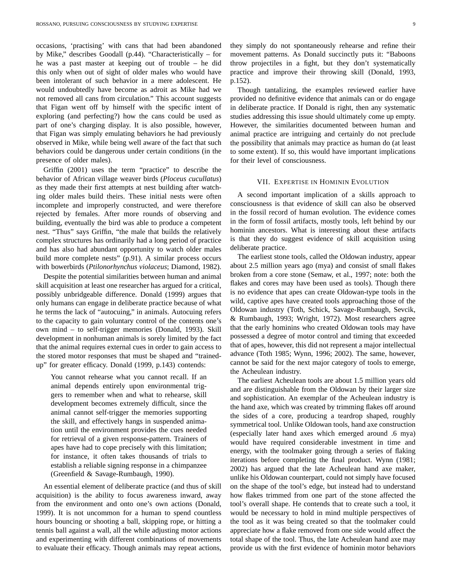occasions, 'practising' with cans that had been abandoned by Mike," describes Goodall (p.44). "Characteristically – for he was a past master at keeping out of trouble – he did this only when out of sight of older males who would have been intolerant of such behavior in a mere adolescent. He would undoubtedly have become as adroit as Mike had we not removed all cans from circulation." This account suggests that Figan went off by himself with the specific intent of exploring (and perfecting?) how the cans could be used as part of one's charging display. It is also possible, however, that Figan was simply emulating behaviors he had previously observed in Mike, while being well aware of the fact that such behaviors could be dangerous under certain conditions (in the presence of older males).

Griffin (2001) uses the term "practice" to describe the behavior of African village weaver birds (*Ploceus cucullatus*) as they made their first attempts at nest building after watching older males build theirs. These initial nests were often incomplete and improperly constructed, and were therefore rejected by females. After more rounds of observing and building, eventually the bird was able to produce a competent nest. "Thus" says Griffin, "the male that builds the relatively complex structures has ordinarily had a long period of practice and has also had abundant opportunity to watch older males build more complete nests" (p.91). A similar process occurs with bowerbirds (*Ptilonorhynchus violaceus*; Diamond, 1982).

Despite the potential similarities between human and animal skill acquisition at least one researcher has argued for a critical, possibly unbridgeable difference. Donald (1999) argues that only humans can engage in deliberate practice because of what he terms the lack of "autocuing," in animals. Autocuing refers to the capacity to gain voluntary control of the contents one's own mind – to self-trigger memories (Donald, 1993). Skill development in nonhuman animals is sorely limited by the fact that the animal requires external cues in order to gain access to the stored motor responses that must be shaped and "trainedup" for greater efficacy. Donald (1999, p.143) contends:

You cannot rehearse what you cannot recall. If an animal depends entirely upon environmental triggers to remember when and what to rehearse, skill development becomes extremely difficult, since the animal cannot self-trigger the memories supporting the skill, and effectively hangs in suspended animation until the environment provides the cues needed for retrieval of a given response-pattern. Trainers of apes have had to cope precisely with this limitation; for instance, it often takes thousands of trials to establish a reliable signing response in a chimpanzee (Greenfield & Savage-Rumbaugh, 1990).

An essential element of deliberate practice (and thus of skill acquisition) is the ability to focus awareness inward, away from the environment and onto one's own actions (Donald, 1999). It is not uncommon for a human to spend countless hours bouncing or shooting a ball, skipping rope, or hitting a tennis ball against a wall, all the while adjusting motor actions and experimenting with different combinations of movements to evaluate their efficacy. Though animals may repeat actions,

they simply do not spontaneously rehearse and refine their movement patterns. As Donald succinctly puts it: "Baboons throw projectiles in a fight, but they don't systematically practice and improve their throwing skill (Donald, 1993, p.152).

Though tantalizing, the examples reviewed earlier have provided no definitive evidence that animals can or do engage in deliberate practice. If Donald is right, then any systematic studies addressing this issue should ultimately come up empty. However, the similarities documented between human and animal practice are intriguing and certainly do not preclude the possibility that animals may practice as human do (at least to some extent). If so, this would have important implications for their level of consciousness.

# VII. EXPERTISE IN HOMININ EVOLUTION

A second important implication of a skills approach to consciousness is that evidence of skill can also be observed in the fossil record of human evolution. The evidence comes in the form of fossil artifacts, mostly tools, left behind by our hominin ancestors. What is interesting about these artifacts is that they do suggest evidence of skill acquisition using deliberate practice.

The earliest stone tools, called the Oldowan industry, appear about 2.5 million years ago (mya) and consist of small flakes broken from a core stone (Semaw, et al., 1997; note: both the flakes and cores may have been used as tools). Though there is no evidence that apes can create Oldowan-type tools in the wild, captive apes have created tools approaching those of the Oldowan industry (Toth, Schick, Savage-Rumbaugh, Sevcik, & Rumbaugh, 1993; Wright, 1972). Most researchers agree that the early hominins who created Oldowan tools may have possessed a degree of motor control and timing that exceeded that of apes, however, this did not represent a major intellectual advance (Toth 1985; Wynn, 1996; 2002). The same, however, cannot be said for the next major category of tools to emerge, the Acheulean industry.

The earliest Acheulean tools are about 1.5 million years old and are distinguishable from the Oldowan by their larger size and sophistication. An exemplar of the Acheulean industry is the hand axe, which was created by trimming flakes off around the sides of a core, producing a teardrop shaped, roughly symmetrical tool. Unlike Oldowan tools, hand axe construction (especially later hand axes which emerged around .6 mya) would have required considerable investment in time and energy, with the toolmaker going through a series of flaking iterations before completing the final product. Wynn (1981; 2002) has argued that the late Acheulean hand axe maker, unlike his Oldowan counterpart, could not simply have focused on the shape of the tool's edge, but instead had to understand how flakes trimmed from one part of the stone affected the tool's overall shape. He contends that to create such a tool, it would be necessary to hold in mind multiple perspectives of the tool as it was being created so that the toolmaker could appreciate how a flake removed from one side would affect the total shape of the tool. Thus, the late Acheulean hand axe may provide us with the first evidence of hominin motor behaviors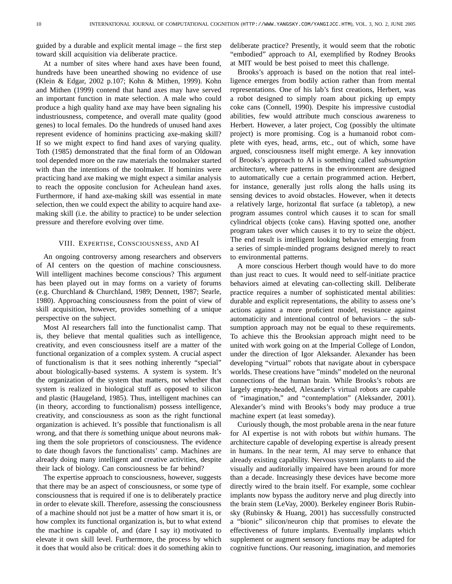guided by a durable and explicit mental image – the first step toward skill acquisition via deliberate practice.

At a number of sites where hand axes have been found, hundreds have been unearthed showing no evidence of use (Klein & Edgar, 2002 p.107; Kohn & Mithen, 1999). Kohn and Mithen (1999) contend that hand axes may have served an important function in mate selection. A male who could produce a high quality hand axe may have been signaling his industriousness, competence, and overall mate quality (good genes) to local females. Do the hundreds of unused hand axes represent evidence of hominins practicing axe-making skill? If so we might expect to find hand axes of varying quality. Toth (1985) demonstrated that the final form of an Oldowan tool depended more on the raw materials the toolmaker started with than the intentions of the toolmaker. If hominins were practicing hand axe making we might expect a similar analysis to reach the opposite conclusion for Acheulean hand axes. Furthermore, if hand axe-making skill was essential in mate selection, then we could expect the ability to acquire hand axemaking skill (i.e. the ability to practice) to be under selection pressure and therefore evolving over time.

# VIII. EXPERTISE, CONSCIOUSNESS, AND AI

An ongoing controversy among researchers and observers of AI centers on the question of machine consciousness. Will intelligent machines become conscious? This argument has been played out in may forms on a variety of forums (e.g. Churchland & Churchland, 1989; Dennett, 1987; Searle, 1980). Approaching consciousness from the point of view of skill acquisition, however, provides something of a unique perspective on the subject.

Most AI researchers fall into the functionalist camp. That is, they believe that mental qualities such as intelligence, creativity, and even consciousness itself are a matter of the functional organization of a complex system. A crucial aspect of functionalism is that it sees nothing inherently "special" about biologically-based systems. A system is system. It's the organization of the system that matters, not whether that system is realized in biological stuff as opposed to silicon and plastic (Haugeland, 1985). Thus, intelligent machines can (in theory, according to functionalism) possess intelligence, creativity, and consciousness as soon as the right functional organization is achieved. It's possible that functionalism is all wrong, and that there *is* something unique about neurons making them the sole proprietors of consciousness. The evidence to date though favors the functionalists' camp. Machines are already doing many intelligent and creative activities, despite their lack of biology. Can consciousness be far behind?

The expertise approach to consciousness, however, suggests that there may be an aspect of consciousness, or some type of consciousness that is required if one is to deliberately practice in order to elevate skill. Therefore, assessing the consciousness of a machine should not just be a matter of how smart it is, or how complex its functional organization is, but to what extend the machine is capable of, and (dare I say it) motivated to elevate it own skill level. Furthermore, the process by which it does that would also be critical: does it do something akin to

deliberate practice? Presently, it would seem that the robotic "embodied" approach to AI, exemplified by Rodney Brooks at MIT would be best poised to meet this challenge.

Brooks's approach is based on the notion that real intelligence emerges from bodily action rather than from mental representations. One of his lab's first creations, Herbert, was a robot designed to simply roam about picking up empty coke cans (Connell, 1990). Despite his impressive custodial abilities, few would attribute much conscious awareness to Herbert. However, a later project, Cog (possibly the ultimate project) is more promising. Cog is a humanoid robot complete with eyes, head, arms, etc., out of which, some have argued, consciousness itself might emerge. A key innovation of Brooks's approach to AI is something called *subsumption* architecture, where patterns in the environment are designed to automatically cue a certain programmed action. Herbert, for instance, generally just rolls along the halls using its sensing devices to avoid obstacles. However, when it detects a relatively large, horizontal flat surface (a tabletop), a new program assumes control which causes it to scan for small cylindrical objects (coke cans). Having spotted one, another program takes over which causes it to try to seize the object. The end result is intelligent looking behavior emerging from a series of simple-minded programs designed merely to react to environmental patterns.

A more conscious Herbert though would have to do more than just react to cues. It would need to self-initiate practice behaviors aimed at elevating can-collecting skill. Deliberate practice requires a number of sophisticated mental abilities: durable and explicit representations, the ability to assess one's actions against a more proficient model, resistance against automaticity and intentional control of behaviors – the subsumption approach may not be equal to these requirements. To achieve this the Brooksian approach might need to be united with work going on at the Imperial College of London, under the direction of Igor Aleksander. Alexander has been developing "virtual" robots that navigate about in cyberspace worlds. These creations have "minds" modeled on the neuronal connections of the human brain. While Brooks's robots are largely empty-headed, Alexander's virtual robots are capable of "imagination," and "contemplation" (Aleksander, 2001). Alexander's mind with Brooks's body may produce a true machine expert (at least someday).

Curiously though, the most probable arena in the near future for AI expertise is not with robots but *within* humans. The architecture capable of developing expertise is already present in humans. In the near term, AI may serve to enhance that already existing capability. Nervous system implants to aid the visually and auditorially impaired have been around for more than a decade. Increasingly these devices have become more directly wired to the brain itself. For example, some cochlear implants now bypass the auditory nerve and plug directly into the brain stem (LeVay, 2000). Berkeley engineer Boris Rubinsky (Rubinsky & Huang, 2001) has successfully constructed a "bionic" silicon/neuron chip that promises to elevate the effectiveness of future implants. Eventually implants which supplement or augment sensory functions may be adapted for cognitive functions. Our reasoning, imagination, and memories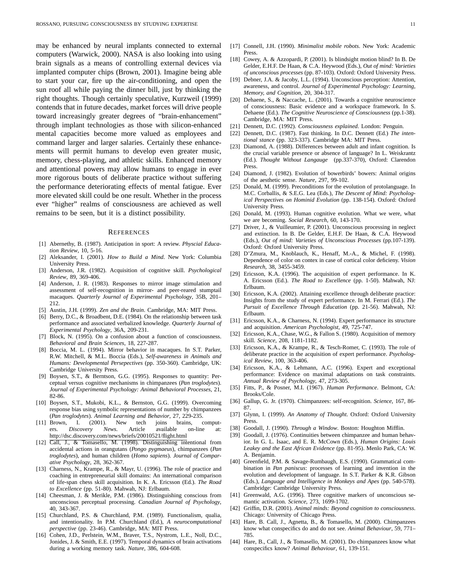may be enhanced by neural implants connected to external computers (Warwick, 2000). NASA is also looking into using brain signals as a means of controlling external devices via implanted computer chips (Brown, 2001). Imagine being able to start your car, fire up the air-conditioning, and open the sun roof all while paying the dinner bill, just by thinking the right thoughts. Though certainly speculative, Kurzweil (1999) contends that in future decades, market forces will drive people toward increasingly greater degrees of "brain-enhancement" through implant technologies as those with silicon-enhanced mental capacities become more valued as employees and command larger and larger salaries. Certainly these enhancements will permit humans to develop even greater music, memory, chess-playing, and athletic skills. Enhanced memory and attentional powers may allow humans to engage in ever more rigorous bouts of deliberate practice without suffering the performance deteriorating effects of mental fatigue. Ever more elevated skill could be one result. Whether in the process ever "higher" realms of consciousness are achieved as well remains to be seen, but it is a distinct possibility.

#### **REFERENCES**

- [1] Abernethy, B. (1987). Anticipation in sport: A review. *Physcial Education Review*, 10, 5-16.
- [2] Aleksander, I. (2001). *How to Build a Mind*. New York: Columbia University Press.
- [3] Anderson, J.R. (1982). Acquisition of cognitive skill. *Psychological Review*, 89, 369-406.
- [4] Anderson, J. R. (1983). Responses to mirror image stimulation and assessment of self-recognition in mirror- and peer-reared stumptail macaques. *Quarterly Journal of Experimental Psychology*, 35B, 201– 212.
- [5] Austin, J.H. (1999). *Zen and the Brain*. Cambridge, MA: MIT Press.
- [6] Berry, D.C., & Broadbent, D.E. (1984). On the relationship between task performance and associated verbalized knowledge. *Quarterly Journal of Experimental Psychology*, 36A, 209-231.
- [7] Block, N. (1995). On a confusion about a function of consciousness. *Behavioral and Brain Sciences*, 18, 227-287.
- [8] Boccia, M. L. (1994). Mirror behavior in macaques. In S.T. Parker, R.W. Mitchell, & M.L. Boccia (Eds.), *Self-awareness in Animals and Humans: Developmental Persepectives* (pp. 350-360). Cambridge, UK: Cambridge University Press.
- [9] Boysen, S.T., & Berntson, G.G. (1995). Responses to quantity: Perceptual versus cognitive mechanisms in chimpanzees (*Pan troglodytes*). *Journal of Experimental Psychology: Animal Behavioral Processes*, 21, 82-86.
- [10] Boysen, S.T., Mukobi, K.L., & Bernston, G.G. (1999). Overcoming response bias using symbolic representations of number by chimpanzees (*Pan troglodytes*). *Animal Learning and Behavior*, 27, 229-235.
- [11] Brown, I. (2001). New tech joins brains, computers. *Discovery News*. Article available on-line at: http://dsc.discovery.com/news/briefs/20010521/flight.html
- [12] Call, J., & Tomasello, M. (1998). Distinguishing intentional from accidental actions in orangutans (*Pongo pygmaeus*), chimpanzees (*Pan troglodytes*), and human children (*Homo sapiens*). *Journal of Comparative Psychology*, 28, 362-367.
- [13] Charness, N., Krampe, R., & Mayr, U. (1996). The role of practice and coaching in entrepreneurial skill domains: An international comparison of life-span chess skill acquisition. In K. A. Ericsson (Ed.). *The Road to Excellence* (pp. 51-80). Mahwah, NJ: Erlbaum.
- [14] Cheesman, J. & Merikle, P.M. (1986). Distinguishing conscious from unconscious perceptual processing. *Canadian Journal of Psychology*, 40, 343-367.
- [15] Churchland, P.S. & Churchland, P.M. (1989). Functionalism, qualia, and intentionality. In P.M. Churchland (Ed.), *A neurocomputational perspective* (pp. 23-46). Cambridge, MA: MIT Press.
- [16] Cohen, J.D., Perlstein, W.M., Braver, T.S., Nystrom, L.E., Noll, D.C., Jonides, J. & Smith, E.E. (1997). Temporal dynamics of brain activations during a working memory task. *Nature*, 386, 604-608.
- [17] Connell, J.H. (1990). *Minimalist mobile robots*. New York: Academic Press.
- [18] Cowey, A. & Azzopardi, P. (2001). Is blindsight motion blind? In B. De Gelder, E.H.F. De Haan, & C.A. Heywood (Eds.), *Out of mind: Varieties of unconscious processes* (pp. 87-103). Oxford: Oxford University Press.
- [19] Debner, J.A. & Jacoby, L.L. (1994). Unconscious perception: Attention, awareness, and control. *Journal of Experimental Psychology: Learning, Memory, and Cognition*, 20, 304-317.
- [20] Dehaene, S., & Naccache, L. (2001). Towards a cognitive neuroscience of consciousness: Basic evidence and a workspace framework. In S. Dehaene (Ed.). *The Cognitive Neuroscience of Consciousness* (pp.1-38). Cambridge, MA: MIT Press.
- [21] Dennett, D.C. (1992). *Consciousness explained*. London: Penguin.
- [22] Dennett, D.C. (1987). Fast thinking. In D.C. Dennett (Ed.) *The intentional stance* (pp. 323-337). Cambridge MA: MIT Press.
- [23] Diamond, A. (1988). Differences between adult and infant cognition. Is the crucial variable presence or absence of language? In L. Weiskrantz (Ed.). *Thought Without Langauge* (pp.337-370), Oxford: Clarendon Press.
- [24] Diamond, J. (1982). Evolution of bowerbirds' bowers: Animal origins of the aesthetic sense. *Nature*, 297, 99-102.
- [25] Donald, M. (1999). Preconditions for the evolution of protolanguage. In M.C. Corballis, & S.E.G. Lea (Eds.), *The Descent of Mind: Psychological Perspectives on Hominid Evolution* (pp. 138-154). Oxford: Oxford University Press.
- [26] Donald, M. (1993). Human cognitive evolution. What we were, what we are becoming. *Social Research*, 60, 143-170.
- [27] Driver, J., & Vuilleumier, P. (2001). Unconscious processing in neglect and extinction. In B. De Gelder, E.H.F. De Haan, & C.A. Heywood (Eds.), *Out of mind: Varieties of Unconscious Processes* (pp.107-139). Oxford: Oxford University Press.
- [28] D'Zmura, M., Knoblauch, K., Henaff, M.-A., & Michel, F. (1998). Dependence of color on contex in case of cortical color deficieny. *Vision Research*, 38, 3455-3459.
- [29] Ericsson, K.A. (1996). The acquisition of expert performance. In K. A. Ericsson (Ed.). *The Road to Excellence* (pp. 1-50). Mahwah, NJ: Erlbaum.
- [30] Ericsson, K.A. (2002). Attaining excellence through deliberate practice: Insights from the study of expert performance. In M. Ferrari (Ed.). *The Pursuit of Excellence Through Education* (pp. 21-56). Mahwah, NJ: Erlbaum.
- [31] Ericsson, K.A., & Charness, N. (1994). Expert performance its structure and acquisition. *American Psychologist*, 49, 725-747.
- [32] Ericsson, K.A., Chase, W.G., & Fallon S. (1980). Acquisition of memory skill. *Science*, 208, 1181-1182.
- [33] Ericsson, K.A., & Krampe, R., & Tesch-Romer, C. (1993). The role of deliberate practice in the acquisition of expert performance. *Psychological Review*, 100, 363-406.
- [34] Ericsson, K.A., & Lehmann, A.C. (1996). Expert and exceptional performance: Evidence on maximal adaptations on task constraints. *Annual Review of Psychology*, 47, 273-305.
- [35] Fitts, P., & Posner, M.I. (1967). *Human Performance*. Belmont, CA: Brooks/Cole.
- [36] Gallup, G. Jr. (1970). Chimpanzees: self-recognition. *Science*, 167, 86- 87.
- [37] Glynn, I. (1999). *An Anatomy of Thought*. Oxford: Oxford University Press.
- [38] Goodall, J. (1990). *Through a Window*. Boston: Houghton Mifflin.
- [39] Goodall, J. (1976). Continuities between chimpanzee and human behavior. In G. L. Isaac, and E. R. McCown (Eds.), *Human Origins: Louis Leakey and the East African Evidence* (pp. 81-95). Menlo Park, CA: W. A. Benjamin.
- [40] Greenfield, P.M. & Savage-Rumbaugh, E.S. (1990). Grammatical combination in *Pan paniscus*: processes of learning and invention in the evolution and development of language. In S.T. Parker & K.R. Gibson (Eds.), *Language and Intelligence in Monkeys and Apes* (pp. 540-578). Cambridge: Cambridge University Press.
- [41] Greenwald, A.G. (1996). Three cognitive markers of unconscious semantic activation. *Science*, 273, 1699-1702.
- [42] Griffin, D.R. (2001). *Animal minds: Beyond cognition to consciousness*. Chicago: University of Chicago Press.
- [43] Hare, B. Call, J., Agnetta, B., & Tomasello, M. (2000). Chimpanzees know what conspecifics do and do not see. *Animal Behaviour*, 59, 771– 785.
- [44] Hare, B., Call, J., & Tomasello, M. (2001). Do chimpanzees know what conspecifics know? *Animal Behaviour*, 61, 139-151.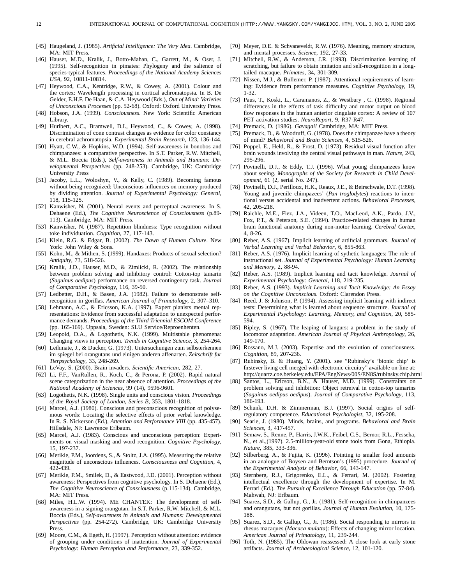- [45] Haugeland, J. (1985). *Artificial Intelligence: The Very Idea*. Cambridge, MA: MIT Press.
- [46] Hauser, M.D., Kralik, J., Botto-Mahan, C., Garrett, M., & Oser, J. (1995). Self-recognition in pimates: Phylogeny and the salience of species-typical features. *Proceedings of the National Academy Sciences USA*, 92, 10811-10814.
- [47] Heywood, C.A., Kentridge, R.W., & Cowey, A. (2001). Colour and the cortex: Wavelength processing in cortical achromatopsia. In B. De Gelder, E.H.F. De Haan, & C.A. Heywood (Eds.), *Out of Mind: Varieties of Unconscious Processes* (pp. 52-68). Oxford: Oxford University Press.
- [48] Hobson, J.A. (1999). *Consciousness*. New York: Scientific American Library.
- [49] Hurlbert, A.C., Bramwell, D.I., Heywood, C., & Cowey, A. (1998). Discrimination of cone contrast changes as evidence for color constancy in cerebral achromatopsia. *Experimental Brain Research*, 123, 136-144.
- [50] Hyatt, C.W., & Hopkins, W.D. (1994). Self-awareness in bonobos and chimpanzees: a comparative perspective. In S.T. Parker, R.W. Mitchell, & M.L. Boccia (Eds.), *Self-awareness in Animals and Humans: Developmental Perspectives* (pp. 248-253). Cambridge, UK: Cambridge University Press
- [51] Jacoby, L.L., Woloshyn, V., & Kelly, C. (1989). Becoming famous without being recognized: Unconscious influences on memory produced by dividing attention. *Journal of Experimental Psychology: General*, 118, 115-125.
- [52] Kanwisher, N. (2001). Neural events and perceptual awareness. In S. Dehaene (Ed.), *The Cognitive Neuroscience of Consciousness* (p.89- 113). Cambridge, MA: MIT Press.
- [53] Kanwisher, N. (1987). Repetition blindness: Type recognition without toke individuation. *Cognition*, 27, 117-143.
- [54] Klein, R.G. & Edgar, B. (2002). *The Dawn of Human Culture*. New York: John Wiley & Sons.
- [55] Kohn, M., & Mithen, S. (1999). Handaxes: Products of sexual selection? *Antiquity*, 73, 518-526.
- [56] Kralik, J.D., Hauser, M.D., & Zimlicki, R. (2002). The relationship between problem solving and inhibitory control: Cotton-top tamarin (*Saguinus oedipus*) performance on reversed contingency task. *Journal of Comparative Psychology*, 116, 39-50.
- [57] Ledbetter, D.H., & Basen, J.A. (1982). Failure to demonstrate selfrecognition in gorillas. *American Journal of Primatology*, 2, 307–310.
- [58] Lehmann, A.C., & Ericsson, K.A. (1997). Expert pianists mental representations: Evidence from successful adaptation to unexpected performance demands. *Proceedings of the Third Triennial ESCOM Conference* (pp. 165-169). Uppsala, Sweden: SLU Service/Reproenhenten.
- [59] Leopold, D.A., & Logothetis, N.K. (1999). Multistable phenomena: Changing views in perception. *Trends in Cognitive Science*, 3, 254-264.
- [60] Lethmate, J., & Ducker, G. (1973). Untersuchungen zum selbsterkennen im spiegel bei orangutans und einigen anderen affenarten. *Zeitschrift fur Tierpsychology*, 33, 248-269.
- [61] LeVay, S. (2000). Brain invaders. *Scientific American*, 282, 27.
- [62] Li, F.F., VanRullen, R., Koch, C., & Perona, P. (2002). Rapid natural scene categorization in the near absence of attention. *Proceedings of the National Academy of Sciences*, 99 (14), 9596-9601.
- [63] Logothetis, N.K. (1998). Single units and conscious vision. *Proceedings of the Royal Society of London, Series B*, 353, 1801-1818.
- [64] Marcel, A.J. (1980). Conscious and preconscious recognition of polysemous words: Locating the selective effects of prior verbal knowledge. In R. S. Nickerson (Ed.), *Attention and Performance VIII* (pp. 435-457). Hillsdale, NJ: Lawrence Erlbaum.
- [65] Marcel, A.J. (1983). Conscious and unconscious perception: Experiments on visual masking and word recognition. *Cognitive Psychology*, 15, 197-237.
- [66] Merikle, P.M., Joordens, S., & Stoltz, J.A. (1995). Measuring the relative magnitude of unconscious influences. *Consciousness and Cognition*, 4, 422-439.
- [67] Merikle, P.M., Smilek, D., & Eastwood, J.D. (2001). Perception without awareness: Perspectives from cognitive psychology. In S. Dehaene (Ed.), *The Cognitive Neuroscience of Consciousness* (p.115-134). Cambridge, MA: MIT Press.
- [68] Miles, H.L.W. (1994). ME CHANTEK: The development of selfawareness in a signing orangutan. In S.T. Parker, R.W. Mitchell, & M.L. Boccia (Eds.), *Self-awareness in Animals and Humans: Developmental Perspectives* (pp. 254-272). Cambridge, UK: Cambridge University Press.
- [69] Moore, C.M., & Egeth, H. (1997). Perception without attention: evidence of grouping under conditions of inattention. *Journal of Experimental Psychology: Human Perception and Performance*, 23, 339-352.
- [70] Meyer, D.E. & Schvaneveldt, R.W. (1976). Meaning, memory structure, and mental processes. *Science*, 192, 27-33.
- [71] Mitchell, R.W., & Anderson, J.R. (1993). Discrimination learning of scratching, but failure to obtain imitation and self-recognition in a longtailed macaque. *Primates*, 34, 301-309.
- [72] Nissen, M.J., & Bullemer, P. (1987). Attentional requirements of learning: Evidence from performance measures. *Cognitive Psychology*, 19, 1-32.
- [73] Paus, T., Koski, L., Caramanos, Z., & Westbury , C. (1998). Regional differences in the effects of task difficulty and motor output on blood flow responses in the human anterior cingulate cortex: A review of 107 PET activation studies. *NeuroReport*, 9, R37-R47.
- [74] Premack, D. (1986). *Gavagai!* Cambridge, MA: MIT Press.
- [75] Premack, D., & Woodruff, G. (1978). Does the chimpanzee have a theory of mind? *Behavioral and Brain Sciences*, 4, 515-526.
- [76] Poppel, E., Held, R., & Frost, D. (1973). Residual visual function after brain wounds involving the central visual pathways in man. *Nature*, 243, 295-296.
- [77] Povinelli, D.J., & Eddy, T.J. (1996). What young chimpanzees know about seeing. *Monographs of the Society for Research in Child Development*, 61 (2, serial No. 247).
- [78] Povinelli, D.J., Perilloux, H.K., Reaux, J.E., & Beirschwale, D.T. (1998). Young and juvenile chimpazees' (*Pan troglodytes*) reactions to intentional versus accidental and inadvertent actions. *Behavioral Processes*, 42, 205-218.
- [79] Raichle, M.E., Fiez, J.A., Videen, T.O., MacLeod, A.K., Pardo, J.V., Fox, P.T., & Peterson, S.E. (1994). Practice-related changes in human brain functional anatomy during non-motor learning. *Cerebral Cortex*, 4, 8-26.
- [80] Reber, A.S. (1967). Implicit learning of artificial grammars. *Journal of Verbal Learning and Verbal Behavior*, 6, 855-863.
- [81] Reber, A.S. (1976). Implicit learning of sythetic languages: The role of instructional set. *Journal of Experimental Psychology: Human Learning and Memory*, 2, 88-94.
- [82] Reber, A.S. (1989). Implicit learning and tacit knowledge. *Journal of Experimental Psychology: General*, 118, 219-235.
- [83] Reber, A.S. (1993). *Implicit Learning and Tacit Knowledge: An Essay on the Cognitive Unconscious*. Oxford: Clarendon Press.
- [84] Reed. J. & Johnson, P. (1994). Assessing implicit learning with indirect tests: Determining what is learned about sequence structure. *Journal of Experimental Psychology: Learning, Memory, and Cognition*, 20, 585- 594.
- [85] Ripley, S. (1967). The leaping of langurs: a problem in the study of locomotor adaptation. *American Journal of Physical Anthropology*, 26, 149-170.
- [86] Rossano, M.J. (2003). Expertise and the evolution of consciousness. *Cognition*, 89, 207-236.
- [87] Rubinsky, B. & Huang, Y. (2001). see "Rubinsky's 'bionic chip' is firstever living cell merged with electronic circuitry" available on-line at: http://quartz.coe.berkeley.edu/EPA/EngNews/00S/EN8S/rubinsky.chip.html
- [88] Santos, L., Ericson, B.N., & Hauser, M.D. (1999). Constraints on problem solving and inhibition: Object retreival in cotton-top tamarins (*Saguinus oedipus oedipus*). *Journal of Comparative Psychology*, 113, 186-193.
- [89] Schunk, D.H. & Zimmerman, B.J. (1997). Social origins of selfregulatory competence. *Educational Psychologist*, 32, 195-208.
- [90] Searle, J. (1980). Minds, brains, and programs. *Behavioral and Brain Sciences*, 3, 417-457.
- [91] Semaw, S., Renne, P., Harris, J.W.K., Feibel, C.S., Bernor, R.L., Fesseha, N., et al.,(1997). 2.5-million-year-old stone tools from Gona, Ethiopia. *Nature*, 385, 333-336.
- [92] Silberberg, A., & Fujita, K. (1996). Pointing to smaller food amounts in an analogue of Boysen and Berntson's (1995) procedure. *Journal of the Experimental Analysis of Behavior*, 66, 143-147.
- [93] Sternberg, R.J., Grigorenko, E.L., & Ferrari, M. (2002). Fostering intellectual excellence through the development of expertise. In M. Ferrari (Ed.). *The Pursuit of Excellence Through Education* (pp. 57-84). Mahwah, NJ: Erlbaum.
- [94] Suarez, S.D., & Gallup, G., Jr. (1981). Self-recognition in chimpanzees and orangutans, but not gorillas. *Journal of Human Evolution*, 10, 175- 188.
- [95] Suarez, S.D., & Gallup, G., Jr. (1986). Social responding to mirrors in rhesus macaques (*Macaca mulatta*): Effects of changing mirror location. *American Journal of Primatology*, 11, 239-244.
- [96] Toth, N. (1985). The Oldowan reassessed: A close look at early stone artifacts. *Journal of Archaeological Science*, 12, 101-120.